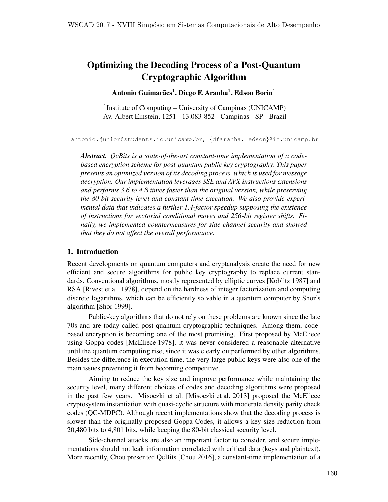# Optimizing the Decoding Process of a Post-Quantum Cryptographic Algorithm

Antonio Guimarães<sup>1</sup>, Diego F. Aranha<sup>1</sup>, Edson Borin<sup>1</sup>

<sup>1</sup>Institute of Computing – University of Campinas (UNICAMP) Av. Albert Einstein, 1251 - 13.083-852 - Campinas - SP - Brazil

antonio.junior@students.ic.unicamp.br, *{*dfaranha, edson*}*@ic.unicamp.br

*Abstract. QcBits is a state-of-the-art constant-time implementation of a codebased encryption scheme for post-quantum public key cryptography. This paper presents an optimized version of its decoding process, which is used for message decryption. Our implementation leverages SSE and AVX instructions extensions and performs 3.6 to 4.8 times faster than the original version, while preserving the 80-bit security level and constant time execution. We also provide experimental data that indicates a further 1.4-factor speedup supposing the existence of instructions for vectorial conditional moves and 256-bit register shifts. Finally, we implemented countermeasures for side-channel security and showed that they do not affect the overall performance.*

# 1. Introduction

Recent developments on quantum computers and cryptanalysis create the need for new efficient and secure algorithms for public key cryptography to replace current standards. Conventional algorithms, mostly represented by elliptic curves [Koblitz 1987] and RSA [Rivest et al. 1978], depend on the hardness of integer factorization and computing discrete logarithms, which can be efficiently solvable in a quantum computer by Shor's algorithm [Shor 1999].

Public-key algorithms that do not rely on these problems are known since the late 70s and are today called post-quantum cryptographic techniques. Among them, codebased encryption is becoming one of the most promising. First proposed by McEliece using Goppa codes [McEliece 1978], it was never considered a reasonable alternative until the quantum computing rise, since it was clearly outperformed by other algorithms. Besides the difference in execution time, the very large public keys were also one of the main issues preventing it from becoming competitive.

Aiming to reduce the key size and improve performance while maintaining the security level, many different choices of codes and decoding algorithms were proposed in the past few years. Misoczki et al. [Misoczki et al. 2013] proposed the McEliece cryptosystem instantiation with quasi-cyclic structure with moderate density parity check codes (QC-MDPC). Although recent implementations show that the decoding process is slower than the originally proposed Goppa Codes, it allows a key size reduction from 20,480 bits to 4,801 bits, while keeping the 80-bit classical security level.

Side-channel attacks are also an important factor to consider, and secure implementations should not leak information correlated with critical data (keys and plaintext). More recently, Chou presented QcBits [Chou 2016], a constant-time implementation of a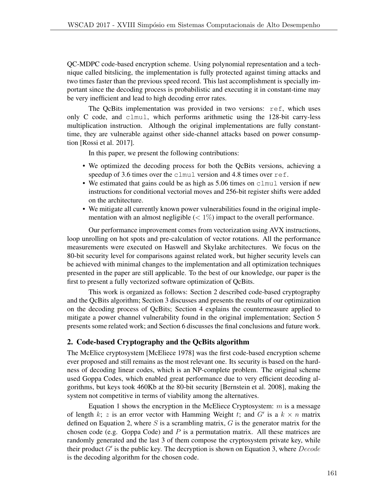QC-MDPC code-based encryption scheme. Using polynomial representation and a technique called bitslicing, the implementation is fully protected against timing attacks and two times faster than the previous speed record. This last accomplishment is specially important since the decoding process is probabilistic and executing it in constant-time may be very inefficient and lead to high decoding error rates.

The QcBits implementation was provided in two versions: ref, which uses only C code, and clmul, which performs arithmetic using the 128-bit carry-less multiplication instruction. Although the original implementations are fully constanttime, they are vulnerable against other side-channel attacks based on power consumption [Rossi et al. 2017].

In this paper, we present the following contributions:

- We optimized the decoding process for both the QcBits versions, achieving a speedup of 3.6 times over the clmul version and 4.8 times over ref.
- We estimated that gains could be as high as 5.06 times on clmul version if new instructions for conditional vectorial moves and 256-bit register shifts were added on the architecture.
- We mitigate all currently known power vulnerabilities found in the original implementation with an almost negligible  $\langle \langle 1 \rangle$  impact to the overall performance.

Our performance improvement comes from vectorization using AVX instructions, loop unrolling on hot spots and pre-calculation of vector rotations. All the performance measurements were executed on Haswell and Skylake architectures. We focus on the 80-bit security level for comparisons against related work, but higher security levels can be achieved with minimal changes to the implementation and all optimization techniques presented in the paper are still applicable. To the best of our knowledge, our paper is the first to present a fully vectorized software optimization of QcBits.

This work is organized as follows: Section 2 described code-based cryptography and the QcBits algorithm; Section 3 discusses and presents the results of our optimization on the decoding process of QcBits; Section 4 explains the countermeasure applied to mitigate a power channel vulnerability found in the original implementation; Section 5 presents some related work; and Section 6 discusses the final conclusions and future work.

# 2. Code-based Cryptography and the QcBits algorithm

The McElice cryptosystem [McEliece 1978] was the first code-based encryption scheme ever proposed and still remains as the most relevant one. Its security is based on the hardness of decoding linear codes, which is an NP-complete problem. The original scheme used Goppa Codes, which enabled great performance due to very efficient decoding algorithms, but keys took 460Kb at the 80-bit security [Bernstein et al. 2008], making the system not competitive in terms of viability among the alternatives.

Equation 1 shows the encryption in the McEliece Cryptosystem: *m* is a message of length  $k$ ;  $z$  is an error vector with Hamming Weight  $t$ ; and  $G'$  is a  $k \times n$  matrix defined on Equation 2, where *S* is a scrambling matrix, *G* is the generator matrix for the chosen code (e.g. Goppa Code) and *P* is a permutation matrix. All these matrices are randomly generated and the last 3 of them compose the cryptosystem private key, while their product *G*<sup>0</sup> is the public key. The decryption is shown on Equation 3, where *Decode* is the decoding algorithm for the chosen code.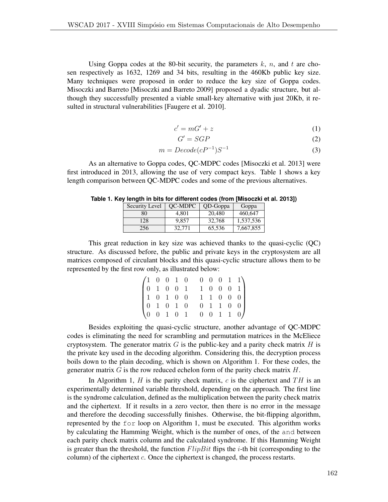Using Goppa codes at the 80-bit security, the parameters  $k$ ,  $n$ , and  $t$  are chosen respectively as 1632, 1269 and 34 bits, resulting in the 460Kb public key size. Many techniques were proposed in order to reduce the key size of Goppa codes. Misoczki and Barreto [Misoczki and Barreto 2009] proposed a dyadic structure, but although they successfully presented a viable small-key alternative with just 20Kb, it resulted in structural vulnerabilities [Faugere et al. 2010].

$$
c' = mG' + z \tag{1}
$$

$$
G' = SGP \tag{2}
$$

$$
m = Decode(cP^{-1})S^{-1}
$$
\n(3)

As an alternative to Goppa codes, QC-MDPC codes [Misoczki et al. 2013] were first introduced in 2013, allowing the use of very compact keys. Table 1 shows a key length comparison between QC-MDPC codes and some of the previous alternatives.

| Security Level | <b>OC-MDPC</b> | QD-Goppa | Goppa     |  |  |
|----------------|----------------|----------|-----------|--|--|
| 80             | 4.801          | 20,480   | 460,647   |  |  |
| 128            | 9.857          | 32,768   | 1,537,536 |  |  |
| 256            | 32.771         | 65,536   | 7,667,855 |  |  |

**Table 1. Key length in bits for different codes (from [Misoczki et al. 2013])**

This great reduction in key size was achieved thanks to the quasi-cyclic (QC) structure. As discussed before, the public and private keys in the cryptosystem are all matrices composed of circulant blocks and this quasi-cyclic structure allows them to be represented by the first row only, as illustrated below:

|  |  |  |  |  | $\begin{pmatrix} 1 & 0 & 0 & 1 & 0 & 0 & 0 & 0 & 1 & 1 \\ 0 & 1 & 0 & 0 & 1 & 1 & 0 & 0 & 0 & 1 \end{pmatrix}$                                          |  |
|--|--|--|--|--|---------------------------------------------------------------------------------------------------------------------------------------------------------|--|
|  |  |  |  |  |                                                                                                                                                         |  |
|  |  |  |  |  |                                                                                                                                                         |  |
|  |  |  |  |  | $\begin{bmatrix} 1 & 0 & 1 & 0 & 0 & 1 & 1 & 0 & 0 & 0 \\ 0 & 1 & 0 & 1 & 0 & 0 & 1 & 1 & 0 & 0 \\ 0 & 0 & 1 & 0 & 1 & 0 & 0 & 1 & 1 & 0 \end{bmatrix}$ |  |

Besides exploiting the quasi-cyclic structure, another advantage of QC-MDPC codes is eliminating the need for scrambling and permutation matrices in the McEliece cryptosystem. The generator matrix  $G$  is the public-key and a parity check matrix  $H$  is the private key used in the decoding algorithm. Considering this, the decryption process boils down to the plain decoding, which is shown on Algorithm 1. For these codes, the generator matrix *G* is the row reduced echelon form of the parity check matrix *H*.

In Algorithm 1, *H* is the parity check matrix, *c* is the ciphertext and *T H* is an experimentally determined variable threshold, depending on the approach. The first line is the syndrome calculation, defined as the multiplication between the parity check matrix and the ciphertext. If it results in a zero vector, then there is no error in the message and therefore the decoding successfully finishes. Otherwise, the bit-flipping algorithm, represented by the for loop on Algorithm 1, must be executed. This algorithm works by calculating the Hamming Weight, which is the number of ones, of the and between each parity check matrix column and the calculated syndrome. If this Hamming Weight is greater than the threshold, the function *FlipBit* flips the *i*-th bit (corresponding to the column) of the ciphertext *c*. Once the ciphertext is changed, the process restarts.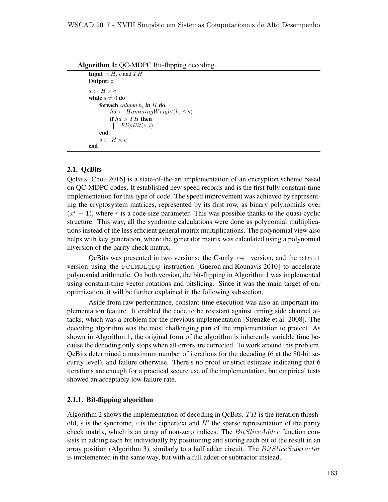```
Algorithm 1: QC-MDPC Bit-flipping decoding.
    Input : H, c and THOutput: c
    s \leftarrow H \times cwhile s \neq 0 do
        foreach column hi in H do
             hd \leftarrow HammingWeight(h_i \wedge s)if hd > TH then
              FlipBit(c, i)
        end
         s \leftarrow H \times cend
```
# 2.1. QcBits

QcBits [Chou 2016] is a state-of-the-art implementation of an encryption scheme based on QC-MDPC codes. It established new speed records and is the first fully constant-time implementation for this type of code. The speed improvement was achieved by representing the cryptosystem matrices, represented by its first row, as binary polynomials over  $(x<sup>r</sup> - 1)$ , where *r* is a code size parameter. This was possible thanks to the quasi-cyclic structure. This way, all the syndrome calculations were done as polynomial multiplications instead of the less efficient general matrix multiplications. The polynomial view also helps with key generation, where the generator matrix was calculated using a polynomial inversion of the parity check matrix.

QcBits was presented in two versions: the C-only ref version, and the clmul version using the PCLMULQDQ instruction [Gueron and Kounavis 2010] to accelerate polynomial arithmetic. On both version, the bit-flipping in Algorithm 1 was implemented using constant-time vector rotations and bitslicing. Since it was the main target of our optimization, it will be further explained in the following subsection.

Aside from raw performance, constant-time execution was also an important implementation feature. It enabled the code to be resistant against timing side channel attacks, which was a problem for the previous implementation [Strenzke et al. 2008]. The decoding algorithm was the most challenging part of the implementation to protect. As shown in Algorithm 1, the original form of the algorithm is inherently variable time because the decoding only stops when all errors are corrected. To work around this problem, QcBits determined a maximum number of iterations for the decoding (6 at the 80-bit security level), and failure otherwise. There's no proof or strict estimate indicating that 6 iterations are enough for a practical secure use of the implementation, but empirical tests showed an acceptably low failure rate.

#### 2.1.1. Bit-flipping algorithm

Algorithm 2 shows the implementation of decoding in QcBits. *T H* is the iteration threshold,  $s$  is the syndrome,  $c$  is the ciphertext and  $H'$  the sparse representation of the parity check matrix, which is an array of non-zero indices. The *BitSliceAdder* function consists in adding each bit individually by positioning and storing each bit of the result in an array position (Algorithm 3), similarly to a half adder circuit. The *BitSliceSubtractor* is implemented in the same way, but with a full adder or subtractor instead.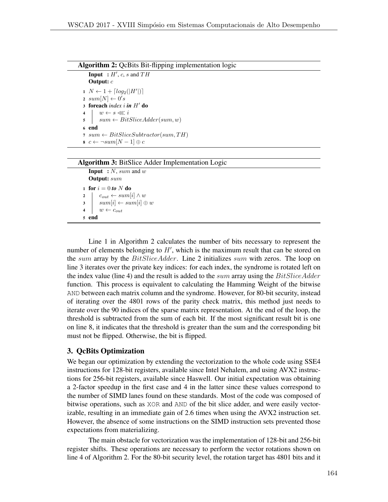```
Algorithm 2: QcBits Bit-flipping implementation logic
```
**Input** :  $H'$ ,  $c$ ,  $s$  and  $TH$ Output: *c*  $1 \ N \leftarrow 1 + \lceil log_2(|H'|) \rceil$  $sum[N] \leftarrow 0's$ 3 foreach *index i* **in**  $H'$  do  $\begin{array}{c|c} \n\textbf{4} & w \leftarrow s \lll i \\ \n\textbf{5} & sum \leftarrow Bit. \n\end{array}$  $sum \leftarrow BitSliceAdder(sum, w)$ <sup>6</sup> end 7  $sum \leftarrow BitSliceSubtractor(sum, TH)$  $s \ c \leftarrow \neg \mathit{sum}[N-1] \oplus c$ 

#### Algorithm 3: BitSlice Adder Implementation Logic

Input : *N*, *sum* and *w* Output: *sum* 1 for  $i = 0$  *to*  $N$  do  $\begin{array}{c|c} \mathbf{2} & c_{out} \leftarrow sum[i] \wedge w \\ \hline \mathbf{3} & sum[i] \leftarrow sum[i] \oplus w \end{array}$  $\begin{array}{c|c} \textbf{3} & \textbf{sum}[i] \leftarrow sum[i] \oplus w \\ \textbf{4} & w \leftarrow c_{out} \end{array}$  $w \leftarrow c_{out}$ <sup>5</sup> end

Line 1 in Algorithm 2 calculates the number of bits necessary to represent the number of elements belonging to  $H'$ , which is the maximum result that can be stored on the *sum* array by the *BitSliceAdder*. Line 2 initializes *sum* with zeros. The loop on line 3 iterates over the private key indices: for each index, the syndrome is rotated left on the index value (line 4) and the result is added to the *sum* array using the *BitSliceAdder* function. This process is equivalent to calculating the Hamming Weight of the bitwise AND between each matrix column and the syndrome. However, for 80-bit security, instead of iterating over the 4801 rows of the parity check matrix, this method just needs to iterate over the 90 indices of the sparse matrix representation. At the end of the loop, the threshold is subtracted from the sum of each bit. If the most significant result bit is one on line 8, it indicates that the threshold is greater than the sum and the corresponding bit must not be flipped. Otherwise, the bit is flipped.

### 3. QcBits Optimization

We began our optimization by extending the vectorization to the whole code using SSE4 instructions for 128-bit registers, available since Intel Nehalem, and using AVX2 instructions for 256-bit registers, available since Haswell. Our initial expectation was obtaining a 2-factor speedup in the first case and 4 in the latter since these values correspond to the number of SIMD lanes found on these standards. Most of the code was composed of bitwise operations, such as XOR and AND of the bit slice adder, and were easily vectorizable, resulting in an immediate gain of 2.6 times when using the AVX2 instruction set. However, the absence of some instructions on the SIMD instruction sets prevented those expectations from materializing.

The main obstacle for vectorization was the implementation of 128-bit and 256-bit register shifts. These operations are necessary to perform the vector rotations shown on line 4 of Algorithm 2. For the 80-bit security level, the rotation target has 4801 bits and it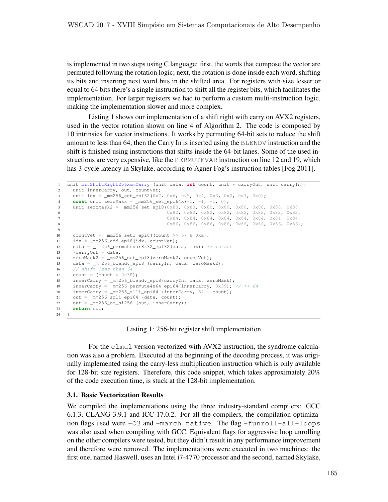is implemented in two steps using C language: first, the words that compose the vector are permuted following the rotation logic; next, the rotation is done inside each word, shifting its bits and inserting next word bits in the shifted area. For registers with size lesser or equal to 64 bits there's a single instruction to shift all the register bits, which facilitates the implementation. For larger registers we had to perform a custom multi-instruction logic, making the implementation slower and more complex.

Listing 1 shows our implementation of a shift right with carry on AVX2 registers, used in the vector rotation shown on line 4 of Algorithm 2. The code is composed by 10 intrinsics for vector instructions. It works by permuting 64-bit sets to reduce the shift amount to less than 64, then the Carry In is inserted using the BLENDV instruction and the shift is finished using instructions that shifts inside the 64-bit lanes. Some of the used instructions are very expensive, like the PERMUTEVAR instruction on line 12 and 19, which has 3-cycle latency in Skylake, according to Agner Fog's instruction tables [Fog 2011].

```
1 unit bitShiftRight256xmmCarry (unit data, int count, unit * carryOut, unit carryIn){<br>2 unit innerCarry, out, countVet:
     unit innerCarry, out, countVet;
3 unit idx = \text{mm256\_set\_epi32}(0 \times 7, 0 \times 6, 0 \times 5, 0 \times 4, 0 \times 3, 0 \times 2, 0 \times 1, 0 \times 0);4 const unit zeroMask = mm256_set_epi64x(-1, -1, -1, 0);
5 unit zeroMask2 = _mm256_set_epi8(0x80, 0x80, 0x80, 0x80, 0x80, 0x80, 0x80, 0x80,
6 0x82, 0x82, 0x82, 0x82, 0x82, 0x82, 0x82, 0x82,
7 0x84, 0x84, 0x84, 0x84, 0x84, 0x84, 0x84, 0x84,
8 0x86, 0x86, 0x86, 0x86, 0x86, 0x86, 0x86, 0x86, 0x86);
9
10 countVet = mm256_set1_epi8((count >> 5) & 0xE);
11 idx = _mm256_add_epi8(idx, countVet);
12 data = _mm256_permutevar8x32_epi32(data, idx); // rotate
13 \star carry Out = data;
14 zeroMask2 = _mm256_sub_epi8(zeroMask2, countVet);
15 data = _mm256_blendv_epi8 (carryIn, data, zeroMask2);
16 // shift less than 64
17 count = \text{(count } \& \text{ 0x3F)};
18 innerCarry = _mm256_blendv_epi8(carryIn, data, zeroMask);
19 innerCarry = _mm256_permute4x64_epi64(innerCarry, 0x39); // >> 64
20 innerCarry = _mm256_slli_epi64 (innerCarry, 64 - count);
21 out = _mm256_srli_epi64 (data, count);
22 out = _mm256_or_si256 (out, innerCarry);
23 return out;
24 }
```
Listing 1: 256-bit register shift implementation

For the clmul version vectorized with AVX2 instruction, the syndrome calculation was also a problem. Executed at the beginning of the decoding process, it was originally implemented using the carry-less multiplication instruction which is only available for 128-bit size registers. Therefore, this code snippet, which takes approximately 20% of the code execution time, is stuck at the 128-bit implementation.

### 3.1. Basic Vectorization Results

We compiled the implementations using the three industry-standard compilers: GCC 6.1.3, CLANG 3.9.1 and ICC 17.0.2. For all the compilers, the compilation optimization flags used were  $-03$  and  $-march = native$ . The flag  $-funroll-all-loops$ was also used when compiling with GCC. Equivalent flags for aggressive loop unrolling on the other compilers were tested, but they didn't result in any performance improvement and therefore were removed. The implementations were executed in two machines: the first one, named Haswell, uses an Intel i7-4770 processor and the second, named Skylake,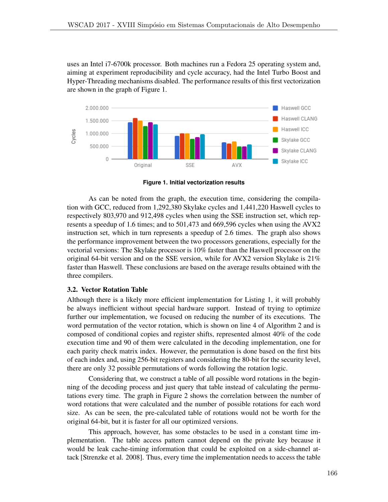uses an Intel i7-6700k processor. Both machines run a Fedora 25 operating system and, aiming at experiment reproducibility and cycle accuracy, had the Intel Turbo Boost and Hyper-Threading mechanisms disabled. The performance results of this first vectorization are shown in the graph of Figure 1.



**Figure 1. Initial vectorization results**

As can be noted from the graph, the execution time, considering the compilation with GCC, reduced from 1,292,380 Skylake cycles and 1,441,220 Haswell cycles to respectively 803,970 and 912,498 cycles when using the SSE instruction set, which represents a speedup of 1.6 times; and to 501,473 and 669,596 cycles when using the AVX2 instruction set, which in turn represents a speedup of 2.6 times. The graph also shows the performance improvement between the two processors generations, especially for the vectorial versions: The Skylake processor is 10% faster than the Haswell processor on the original 64-bit version and on the SSE version, while for AVX2 version Skylake is 21% faster than Haswell. These conclusions are based on the average results obtained with the three compilers.

### 3.2. Vector Rotation Table

Although there is a likely more efficient implementation for Listing 1, it will probably be always inefficient without special hardware support. Instead of trying to optimize further our implementation, we focused on reducing the number of its executions. The word permutation of the vector rotation, which is shown on line 4 of Algorithm 2 and is composed of conditional copies and register shifts, represented almost 40% of the code execution time and 90 of them were calculated in the decoding implementation, one for each parity check matrix index. However, the permutation is done based on the first bits of each index and, using 256-bit registers and considering the 80-bit for the security level, there are only 32 possible permutations of words following the rotation logic.

Considering that, we construct a table of all possible word rotations in the beginning of the decoding process and just query that table instead of calculating the permutations every time. The graph in Figure 2 shows the correlation between the number of word rotations that were calculated and the number of possible rotations for each word size. As can be seen, the pre-calculated table of rotations would not be worth for the original 64-bit, but it is faster for all our optimized versions.

This approach, however, has some obstacles to be used in a constant time implementation. The table access pattern cannot depend on the private key because it would be leak cache-timing information that could be exploited on a side-channel attack [Strenzke et al. 2008]. Thus, every time the implementation needs to access the table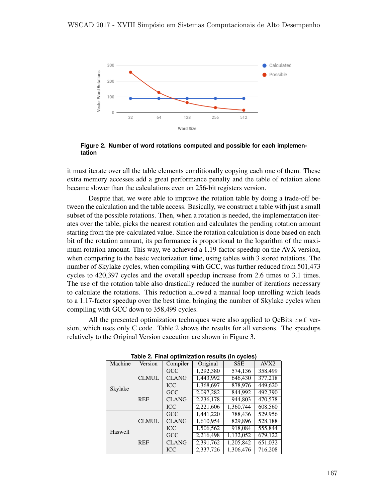

**Figure 2. Number of word rotations computed and possible for each implementation**

it must iterate over all the table elements conditionally copying each one of them. These extra memory accesses add a great performance penalty and the table of rotation alone became slower than the calculations even on 256-bit registers version.

Despite that, we were able to improve the rotation table by doing a trade-off between the calculation and the table access. Basically, we construct a table with just a small subset of the possible rotations. Then, when a rotation is needed, the implementation iterates over the table, picks the nearest rotation and calculates the pending rotation amount starting from the pre-calculated value. Since the rotation calculation is done based on each bit of the rotation amount, its performance is proportional to the logarithm of the maximum rotation amount. This way, we achieved a 1.19-factor speedup on the AVX version, when comparing to the basic vectorization time, using tables with 3 stored rotations. The number of Skylake cycles, when compiling with GCC, was further reduced from 501,473 cycles to 420,397 cycles and the overall speedup increase from 2.6 times to 3.1 times. The use of the rotation table also drastically reduced the number of iterations necessary to calculate the rotations. This reduction allowed a manual loop unrolling which leads to a 1.17-factor speedup over the best time, bringing the number of Skylake cycles when compiling with GCC down to 358,499 cycles.

All the presented optimization techniques were also applied to QcBits ref version, which uses only C code. Table 2 shows the results for all versions. The speedups relatively to the Original Version execution are shown in Figure 3.

| .              |              |              |           |            |                  |  |  |  |
|----------------|--------------|--------------|-----------|------------|------------------|--|--|--|
| Machine        | Version      |              | Original  | <b>SSE</b> | AVX <sub>2</sub> |  |  |  |
|                |              | GCC          | 1,292,380 | 574,136    | 358,499          |  |  |  |
|                | <b>CLMUL</b> | <b>CLANG</b> | 1,443,992 | 646,430    | 377,218          |  |  |  |
| Skylake        |              | <b>ICC</b>   | 1,368,697 | 878,976    | 449,620          |  |  |  |
|                | <b>REF</b>   | GCC          | 2,097,282 | 844,992    | 492.390          |  |  |  |
|                |              | <b>CLANG</b> | 2,236,178 | 944,803    | 470,578          |  |  |  |
|                |              | <b>ICC</b>   | 2,221,606 | 1,360,744  | 608,560          |  |  |  |
|                | <b>CLMUL</b> | GCC          | 1,441,220 | 788,436    | 529,956          |  |  |  |
|                |              | <b>CLANG</b> | 1,610,954 | 829,896    | 528,188          |  |  |  |
| <b>Haswell</b> |              | <b>ICC</b>   | 1,506,562 | 918,084    | 555,844          |  |  |  |
|                | <b>REF</b>   | GCC          | 2,216,498 | 1,132,052  | 679,122          |  |  |  |
|                |              | <b>CLANG</b> | 2,391,762 | 1,205,842  | 651,032          |  |  |  |
|                |              | <b>ICC</b>   | 2,337,726 | 1,306,476  | 716,208          |  |  |  |

**Table 2. Final optimization results (in cycles)**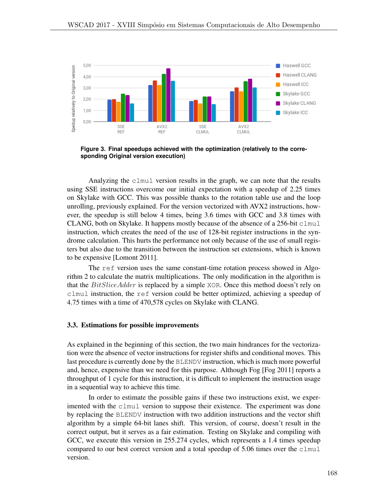

**Figure 3. Final speedups achieved with the optimization (relatively to the corresponding Original version execution)**

Analyzing the clmul version results in the graph, we can note that the results using SSE instructions overcome our initial expectation with a speedup of 2.25 times on Skylake with GCC. This was possible thanks to the rotation table use and the loop unrolling, previously explained. For the version vectorized with AVX2 instructions, however, the speedup is still below 4 times, being 3.6 times with GCC and 3.8 times with CLANG, both on Skylake. It happens mostly because of the absence of a 256-bit  $clmul$ instruction, which creates the need of the use of 128-bit register instructions in the syndrome calculation. This hurts the performance not only because of the use of small registers but also due to the transition between the instruction set extensions, which is known to be expensive [Lomont 2011].

The ref version uses the same constant-time rotation process showed in Algorithm 2 to calculate the matrix multiplications. The only modification in the algorithm is that the *BitSliceAdder* is replaced by a simple XOR. Once this method doesn't rely on clmul instruction, the ref version could be better optimized, achieving a speedup of 4.75 times with a time of 470,578 cycles on Skylake with CLANG.

### 3.3. Estimations for possible improvements

As explained in the beginning of this section, the two main hindrances for the vectorization were the absence of vector instructions for register shifts and conditional moves. This last procedure is currently done by the BLENDV instruction, which is much more powerful and, hence, expensive than we need for this purpose. Although Fog [Fog 2011] reports a throughput of 1 cycle for this instruction, it is difficult to implement the instruction usage in a sequential way to achieve this time.

In order to estimate the possible gains if these two instructions exist, we experimented with the clmul version to suppose their existence. The experiment was done by replacing the BLENDV instruction with two addition instructions and the vector shift algorithm by a simple 64-bit lanes shift. This version, of course, doesn't result in the correct output, but it serves as a fair estimation. Testing on Skylake and compiling with GCC, we execute this version in 255.274 cycles, which represents a 1.4 times speedup compared to our best correct version and a total speedup of 5.06 times over the clmul version.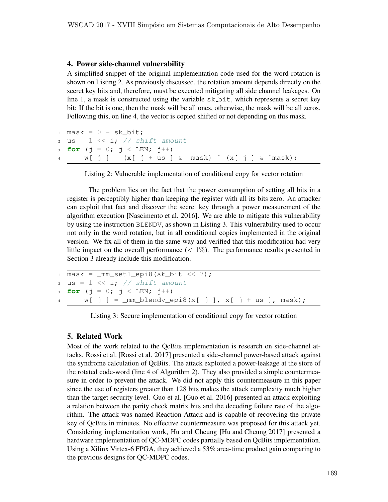## 4. Power side-channel vulnerability

A simplified snippet of the original implementation code used for the word rotation is shown on Listing 2. As previously discussed, the rotation amount depends directly on the secret key bits and, therefore, must be executed mitigating all side channel leakages. On line 1, a mask is constructed using the variable  $s \& \text{bit}$ , which represents a secret key bit: If the bit is one, then the mask will be all ones, otherwise, the mask will be all zeros. Following this, on line 4, the vector is copied shifted or not depending on this mask.

```
1 mask = 0 - sk bit;
2 us = 1 << i; // shift amount
3 for (j = 0; j < LEN; j^{++})
\begin{array}{cc} 4 & \text{W} & \text{j} & \text{k} \\ \end{array} = (x[ j + us ] & mask) ^ (x[ j ] & ~mask);
```
Listing 2: Vulnerable implementation of conditional copy for vector rotation

The problem lies on the fact that the power consumption of setting all bits in a register is perceptibly higher than keeping the register with all its bits zero. An attacker can exploit that fact and discover the secret key through a power measurement of the algorithm execution [Nascimento et al. 2016]. We are able to mitigate this vulnerability by using the instruction BLENDV, as shown in Listing 3. This vulnerability used to occur not only in the word rotation, but in all conditional copies implemented in the original version. We fix all of them in the same way and verified that this modification had very little impact on the overall performance (*<* 1%). The performance results presented in Section 3 already include this modification.

```
1 mask = mm_set1\_epi8(sk\_bit \ll 7);2 \text{us} = 1 \ll i; // shift amount
3 for (j = 0; j < LEN; j^{++})
W[j] = \text{mm\_blendv\_epi8(x[j], x[j + us], mask);
```
Listing 3: Secure implementation of conditional copy for vector rotation

## 5. Related Work

Most of the work related to the QcBits implementation is research on side-channel attacks. Rossi et al. [Rossi et al. 2017] presented a side-channel power-based attack against the syndrome calculation of QcBits. The attack exploited a power-leakage at the store of the rotated code-word (line 4 of Algorithm 2). They also provided a simple countermeasure in order to prevent the attack. We did not apply this countermeasure in this paper since the use of registers greater than 128 bits makes the attack complexity much higher than the target security level. Guo et al. [Guo et al. 2016] presented an attack exploiting a relation between the parity check matrix bits and the decoding failure rate of the algorithm. The attack was named Reaction Attack and is capable of recovering the private key of QcBits in minutes. No effective countermeasure was proposed for this attack yet. Considering implementation work, Hu and Cheung [Hu and Cheung 2017] presented a hardware implementation of QC-MDPC codes partially based on QcBits implementation. Using a Xilinx Virtex-6 FPGA, they achieved a 53% area-time product gain comparing to the previous designs for QC-MDPC codes.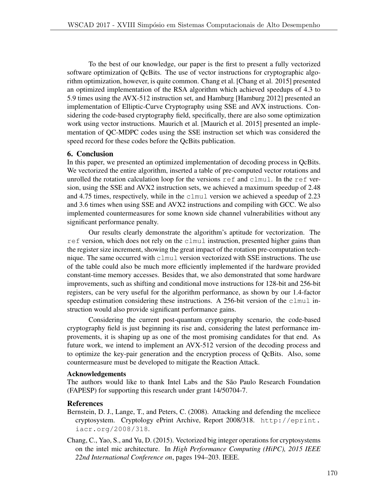To the best of our knowledge, our paper is the first to present a fully vectorized software optimization of QcBits. The use of vector instructions for cryptographic algorithm optimization, however, is quite common. Chang et al. [Chang et al. 2015] presented an optimized implementation of the RSA algorithm which achieved speedups of 4.3 to 5.9 times using the AVX-512 instruction set, and Hamburg [Hamburg 2012] presented an implementation of Elliptic-Curve Cryptography using SSE and AVX instructions. Considering the code-based cryptography field, specifically, there are also some optimization work using vector instructions. Maurich et al. [Maurich et al. 2015] presented an implementation of QC-MDPC codes using the SSE instruction set which was considered the speed record for these codes before the QcBits publication.

## 6. Conclusion

In this paper, we presented an optimized implementation of decoding process in QcBits. We vectorized the entire algorithm, inserted a table of pre-computed vector rotations and unrolled the rotation calculation loop for the versions  $r \in f$  and  $clmul$ . In the ref version, using the SSE and AVX2 instruction sets, we achieved a maximum speedup of 2.48 and 4.75 times, respectively, while in the clmul version we achieved a speedup of 2.23 and 3.6 times when using SSE and AVX2 instructions and compiling with GCC. We also implemented countermeasures for some known side channel vulnerabilities without any significant performance penalty.

Our results clearly demonstrate the algorithm's aptitude for vectorization. The ref version, which does not rely on the clmul instruction, presented higher gains than the register size increment, showing the great impact of the rotation pre-computation technique. The same occurred with clmul version vectorized with SSE instructions. The use of the table could also be much more efficiently implemented if the hardware provided constant-time memory accesses. Besides that, we also demonstrated that some hardware improvements, such as shifting and conditional move instructions for 128-bit and 256-bit registers, can be very useful for the algorithm performance, as shown by our 1.4-factor speedup estimation considering these instructions. A 256-bit version of the clmul instruction would also provide significant performance gains.

Considering the current post-quantum cryptography scenario, the code-based cryptography field is just beginning its rise and, considering the latest performance improvements, it is shaping up as one of the most promising candidates for that end. As future work, we intend to implement an AVX-512 version of the decoding process and to optimize the key-pair generation and the encryption process of QcBits. Also, some countermeasure must be developed to mitigate the Reaction Attack.

### Acknowledgements

The authors would like to thank Intel Labs and the São Paulo Research Foundation (FAPESP) for supporting this research under grant 14/50704-7.

### References

- Bernstein, D. J., Lange, T., and Peters, C. (2008). Attacking and defending the mceliece cryptosystem. Cryptology ePrint Archive, Report 2008/318. http://eprint. iacr.org/2008/318.
- Chang, C., Yao, S., and Yu, D. (2015). Vectorized big integer operations for cryptosystems on the intel mic architecture. In *High Performance Computing (HiPC), 2015 IEEE 22nd International Conference on*, pages 194–203. IEEE.